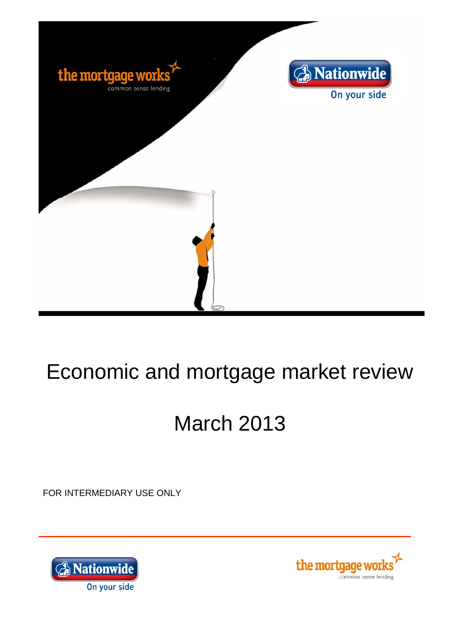

# Economic and mortgage market review

# March 2013

FOR INTERMEDIARY USE ONLY



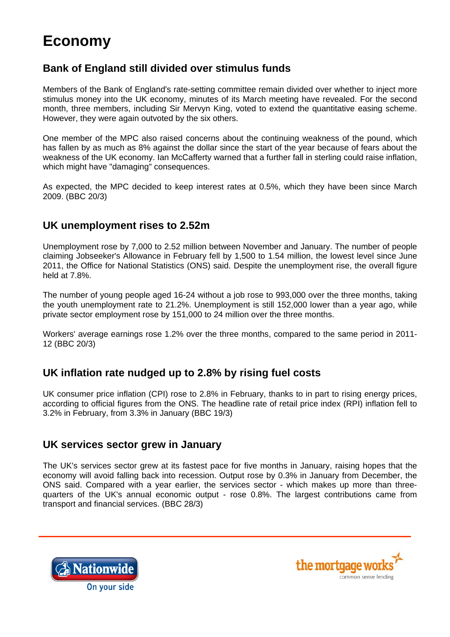# **Economy**

### **Bank of England still divided over stimulus funds**

Members of the Bank of England's rate-setting committee remain divided over whether to inject more stimulus money into the UK economy, minutes of its March meeting have revealed. For the second month, three members, including Sir Mervyn King, voted to extend the quantitative easing scheme. However, they were again outvoted by the six others.

One member of the MPC also raised concerns about the continuing weakness of the pound, which has fallen by as much as 8% against the dollar since the start of the year because of fears about the weakness of the UK economy. Ian McCafferty warned that a further fall in sterling could raise inflation, which might have "damaging" consequences.

As expected, the MPC decided to keep interest rates at 0.5%, which they have been since March 2009. (BBC 20/3)

#### **UK unemployment rises to 2.52m**

Unemployment rose by 7,000 to 2.52 million between November and January. The number of people claiming Jobseeker's Allowance in February fell by 1,500 to 1.54 million, the lowest level since June 2011, the Office for National Statistics (ONS) said. Despite the unemployment rise, the overall figure held at 7.8%.

The number of young people aged 16-24 without a job rose to 993,000 over the three months, taking the youth unemployment rate to 21.2%. Unemployment is still 152,000 lower than a year ago, while private sector employment rose by 151,000 to 24 million over the three months.

Workers' average earnings rose 1.2% over the three months, compared to the same period in 2011- 12 (BBC 20/3)

#### **UK inflation rate nudged up to 2.8% by rising fuel costs**

UK consumer price inflation (CPI) rose to 2.8% in February, thanks to in part to rising energy prices, according to official figures from the ONS. The headline rate of retail price index (RPI) inflation fell to 3.2% in February, from 3.3% in January (BBC 19/3)

#### **UK services sector grew in January**

The UK's services sector grew at its fastest pace for five months in January, raising hopes that the economy will avoid falling back into recession. Output rose by 0.3% in January from December, the ONS said. Compared with a year earlier, the services sector - which makes up more than threequarters of the UK's annual economic output - rose 0.8%. The largest contributions came from transport and financial services. (BBC 28/3)



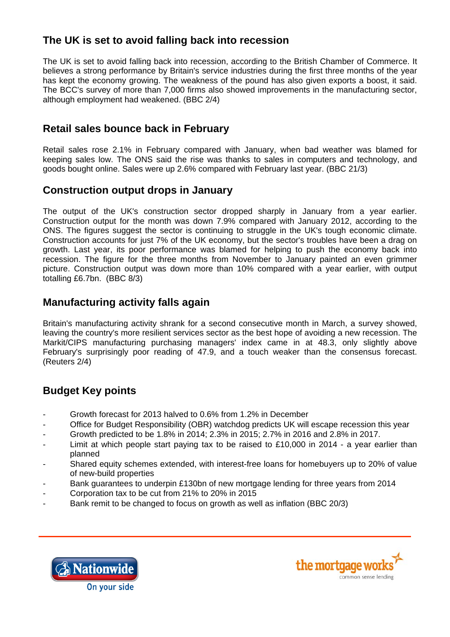# **The UK is set to avoid falling back into recession**

The UK is set to avoid falling back into recession, according to the British Chamber of Commerce. It believes a strong performance by Britain's service industries during the first three months of the year has kept the economy growing. The weakness of the pound has also given exports a boost, it said. The BCC's survey of more than 7,000 firms also showed improvements in the manufacturing sector, although employment had weakened. (BBC 2/4)

#### **Retail sales bounce back in February**

Retail sales rose 2.1% in February compared with January, when bad weather was blamed for keeping sales low. The ONS said the rise was thanks to sales in computers and technology, and goods bought online. Sales were up 2.6% compared with February last year. (BBC 21/3)

#### **Construction output drops in January**

The output of the UK's construction sector dropped sharply in January from a year earlier. Construction output for the month was down 7.9% compared with January 2012, according to the ONS. The figures suggest the sector is continuing to struggle in the UK's tough economic climate. Construction accounts for just 7% of the UK economy, but the sector's troubles have been a drag on growth. Last year, its poor performance was blamed for helping to push the economy back into recession. The figure for the three months from November to January painted an even grimmer picture. Construction output was down more than 10% compared with a year earlier, with output totalling £6.7bn. (BBC 8/3)

#### **Manufacturing activity falls again**

Britain's manufacturing activity shrank for a second consecutive month in March, a survey showed, leaving the country's more resilient services sector as the best hope of avoiding a new recession. The Markit/CIPS manufacturing purchasing managers' index came in at 48.3, only slightly above February's surprisingly poor reading of 47.9, and a touch weaker than the consensus forecast. (Reuters 2/4)

## **Budget Key points**

- Growth forecast for 2013 halved to 0.6% from 1.2% in December
- Office for Budget Responsibility (OBR) watchdog predicts UK will escape recession this year
- Growth predicted to be 1.8% in 2014; 2.3% in 2015; 2.7% in 2016 and 2.8% in 2017.
- Limit at which people start paying tax to be raised to £10,000 in 2014 a year earlier than planned
- Shared equity schemes extended, with interest-free loans for homebuyers up to 20% of value of new-build properties
- Bank guarantees to underpin £130bn of new mortgage lending for three years from 2014
- Corporation tax to be cut from 21% to 20% in 2015
- Bank remit to be changed to focus on growth as well as inflation (BBC 20/3)



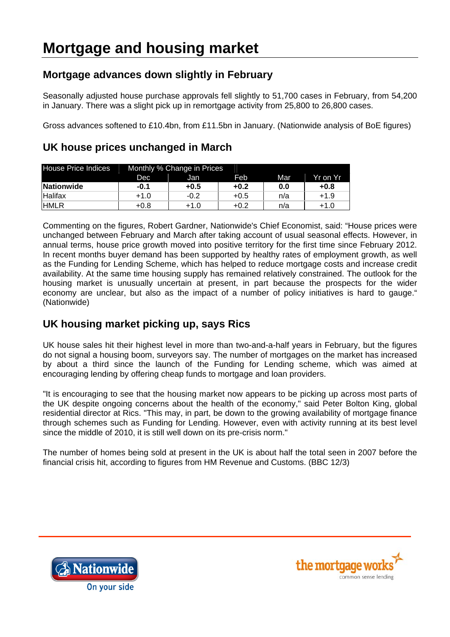# **Mortgage advances down slightly in February**

Seasonally adjusted house purchase approvals fell slightly to 51,700 cases in February, from 54,200 in January. There was a slight pick up in remortgage activity from 25,800 to 26,800 cases.

Gross advances softened to £10.4bn, from £11.5bn in January. (Nationwide analysis of BoE figures)

| <b>House Price Indices</b> | Monthly % Change in Prices |        |        |     |          |
|----------------------------|----------------------------|--------|--------|-----|----------|
|                            | Dec                        | Jan.   | Feb    | Mar | Yr on Yr |
| Nationwide                 | $-0.1$                     | +0.5   | $+0.2$ | 0.0 | +0.8     |
| <b>Halifax</b>             | +1.0                       | $-0.2$ | $+0.5$ | n/a | $+1.9$   |
| <b>HMLR</b>                | $+0.8$                     | +1.0   | +0.2   | n/a | +1.0     |

# **UK house prices unchanged in March**

Commenting on the figures, Robert Gardner, Nationwide's Chief Economist, said: "House prices were unchanged between February and March after taking account of usual seasonal effects. However, in annual terms, house price growth moved into positive territory for the first time since February 2012. In recent months buyer demand has been supported by healthy rates of employment growth, as well as the Funding for Lending Scheme, which has helped to reduce mortgage costs and increase credit availability. At the same time housing supply has remained relatively constrained. The outlook for the housing market is unusually uncertain at present, in part because the prospects for the wider economy are unclear, but also as the impact of a number of policy initiatives is hard to gauge." (Nationwide)

# **UK housing market picking up, says Rics**

UK house sales hit their highest level in more than two-and-a-half years in February, but the figures do not signal a housing boom, surveyors say. The number of mortgages on the market has increased by about a third since the launch of the Funding for Lending scheme, which was aimed at encouraging lending by offering cheap funds to mortgage and loan providers.

"It is encouraging to see that the housing market now appears to be picking up across most parts of the UK despite ongoing concerns about the health of the economy," said Peter Bolton King, global residential director at Rics. "This may, in part, be down to the growing availability of mortgage finance through schemes such as Funding for Lending. However, even with activity running at its best level since the middle of 2010, it is still well down on its pre-crisis norm."

The number of homes being sold at present in the UK is about half the total seen in 2007 before the financial crisis hit, according to figures from HM Revenue and Customs. (BBC 12/3)